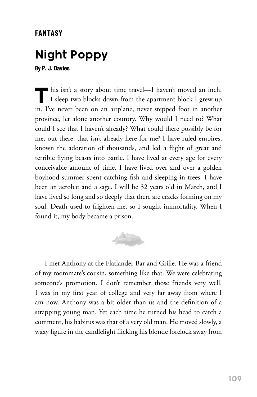## **FANTASY**

## **Night Poppy**

**By P. J. Davies**

This isn't a story about time travel—I haven't moved an inch.<br>I sleep two blocks down from the apartment block I grew up in. I've never been on an airplane, never stepped foot in another province, let alone another country. Why would I need to? What could I see that I haven't already? What could there possibly be for me, out there, that isn't already here for me? I have ruled empires, known the adoration of thousands, and led a flight of great and terrible flying beasts into battle. I have lived at every age for every conceivable amount of time. I have lived over and over a golden boyhood summer spent catching fish and sleeping in trees. I have been an acrobat and a sage. I will be 32 years old in March, and I have lived so long and so deeply that there are cracks forming on my soul. Death used to frighten me, so I sought immortality. When I found it, my body became a prison.



I met Anthony at the Flatlander Bar and Grille. He was a friend of my roommate's cousin, something like that. We were celebrating someone's promotion. I don't remember those friends very well. I was in my first year of college and very far away from where I am now. Anthony was a bit older than us and the definition of a strapping young man. Yet each time he turned his head to catch a comment, his habitus was that of a very old man. He moved slowly, a waxy figure in the candlelight flicking his blonde forelock away from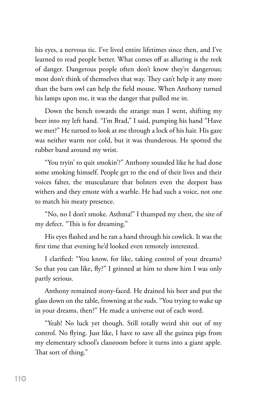his eyes, a nervous tic. I've lived entire lifetimes since then, and I've learned to read people better. What comes off as alluring is the reek of danger. Dangerous people often don't know they're dangerous; most don't think of themselves that way. They can't help it any more than the barn owl can help the field mouse. When Anthony turned his lamps upon me, it was the danger that pulled me in.

Down the bench towards the strange man I went, shifting my beer into my left hand. "I'm Brad," I said, pumping his hand "Have we met?" He turned to look at me through a lock of his hair. His gaze was neither warm nor cold, but it was thunderous. He spotted the rubber band around my wrist.

"You tryin' to quit smokin'?" Anthony sounded like he had done some smoking himself. People get to the end of their lives and their voices falter, the musculature that bolsters even the deepest bass withers and they emote with a warble. He had such a voice, not one to match his meaty presence.

"No, no I don't smoke. Asthma!" I thumped my chest, the site of my defect. "This is for dreaming."

His eyes flashed and he ran a hand through his cowlick. It was the first time that evening he'd looked even remotely interested.

I clarified: "You know, for like, taking control of your dreams? So that you can like, fly?" I grinned at him to show him I was only partly serious.

Anthony remained stony-faced. He drained his beer and put the glass down on the table, frowning at the suds. "You trying to wake up in your dreams, then?" He made a universe out of each word.

"Yeah! No luck yet though. Still totally weird shit out of my control. No flying. Just like, I have to save all the guinea pigs from my elementary school's classroom before it turns into a giant apple. That sort of thing."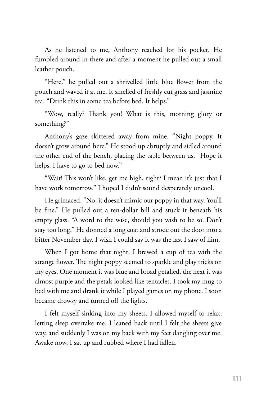As he listened to me, Anthony reached for his pocket. He fumbled around in there and after a moment he pulled out a small leather pouch.

"Here," he pulled out a shrivelled little blue flower from the pouch and waved it at me. It smelled of freshly cut grass and jasmine tea. "Drink this in some tea before bed. It helps."

"Wow, really? Thank you! What is this, morning glory or something?"

Anthony's gaze skittered away from mine. "Night poppy. It doesn't grow around here." He stood up abruptly and sidled around the other end of the bench, placing the table between us. "Hope it helps. I have to go to bed now."

"Wait! This won't like, get me high, right? I mean it's just that I have work tomorrow." I hoped I didn't sound desperately uncool.

He grimaced. "No, it doesn't mimic our poppy in that way. You'll be fine." He pulled out a ten-dollar bill and stuck it beneath his empty glass. "A word to the wise, should you wish to be so. Don't stay too long." He donned a long coat and strode out the door into a bitter November day. I wish I could say it was the last I saw of him.

When I got home that night, I brewed a cup of tea with the strange flower. The night poppy seemed to sparkle and play tricks on my eyes. One moment it was blue and broad petalled, the next it was almost purple and the petals looked like tentacles. I took my mug to bed with me and drank it while I played games on my phone. I soon became drowsy and turned off the lights.

I felt myself sinking into my sheets. I allowed myself to relax, letting sleep overtake me. I leaned back until I felt the sheets give way, and suddenly I was on my back with my feet dangling over me. Awake now, I sat up and rubbed where I had fallen.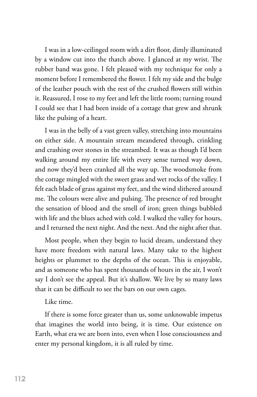I was in a low-ceilinged room with a dirt floor, dimly illuminated by a window cut into the thatch above. I glanced at my wrist. The rubber band was gone. I felt pleased with my technique for only a moment before I remembered the flower. I felt my side and the bulge of the leather pouch with the rest of the crushed flowers still within it. Reassured, I rose to my feet and left the little room; turning round I could see that I had been inside of a cottage that grew and shrunk like the pulsing of a heart.

I was in the belly of a vast green valley, stretching into mountains on either side. A mountain stream meandered through, crinkling and crashing over stones in the streambed. It was as though I'd been walking around my entire life with every sense turned way down, and now they'd been cranked all the way up. The woodsmoke from the cottage mingled with the sweet grass and wet rocks of the valley. I felt each blade of grass against my feet, and the wind slithered around me. The colours were alive and pulsing. The presence of red brought the sensation of blood and the smell of iron; green things bubbled with life and the blues ached with cold. I walked the valley for hours, and I returned the next night. And the next. And the night after that.

Most people, when they begin to lucid dream, understand they have more freedom with natural laws. Many take to the highest heights or plummet to the depths of the ocean. This is enjoyable, and as someone who has spent thousands of hours in the air, I won't say I don't see the appeal. But it's shallow. We live by so many laws that it can be difficult to see the bars on our own cages.

Like time.

If there is some force greater than us, some unknowable impetus that imagines the world into being, it is time. Our existence on Earth, what era we are born into, even when I lose consciousness and enter my personal kingdom, it is all ruled by time.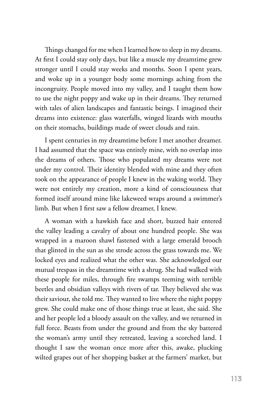Things changed for me when I learned how to sleep in my dreams. At first I could stay only days, but like a muscle my dreamtime grew stronger until I could stay weeks and months. Soon I spent years, and woke up in a younger body some mornings aching from the incongruity. People moved into my valley, and I taught them how to use the night poppy and wake up in their dreams. They returned with tales of alien landscapes and fantastic beings. I imagined their dreams into existence: glass waterfalls, winged lizards with mouths on their stomachs, buildings made of sweet clouds and rain.

I spent centuries in my dreamtime before I met another dreamer. I had assumed that the space was entirely mine, with no overlap into the dreams of others. Those who populated my dreams were not under my control. Their identity blended with mine and they often took on the appearance of people I knew in the waking world. They were not entirely my creation, more a kind of consciousness that formed itself around mine like lakeweed wraps around a swimmer's limb. But when I first saw a fellow dreamer, I knew.

A woman with a hawkish face and short, buzzed hair entered the valley leading a cavalry of about one hundred people. She was wrapped in a maroon shawl fastened with a large emerald brooch that glinted in the sun as she strode across the grass towards me. We locked eyes and realized what the other was. She acknowledged our mutual trespass in the dreamtime with a shrug. She had walked with these people for miles, through fire swamps teeming with terrible beetles and obsidian valleys with rivers of tar. They believed she was their saviour, she told me. They wanted to live where the night poppy grew. She could make one of those things true at least, she said. She and her people led a bloody assault on the valley, and we returned in full force. Beasts from under the ground and from the sky battered the woman's army until they retreated, leaving a scorched land. I thought I saw the woman once more after this, awake, plucking wilted grapes out of her shopping basket at the farmers' market, but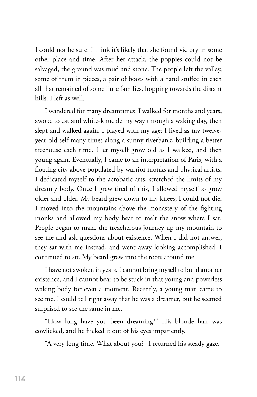I could not be sure. I think it's likely that she found victory in some other place and time. After her attack, the poppies could not be salvaged, the ground was mud and stone. The people left the valley, some of them in pieces, a pair of boots with a hand stuffed in each all that remained of some little families, hopping towards the distant hills. I left as well.

I wandered for many dreamtimes. I walked for months and years, awoke to eat and white-knuckle my way through a waking day, then slept and walked again. I played with my age; I lived as my twelveyear-old self many times along a sunny riverbank, building a better treehouse each time. I let myself grow old as I walked, and then young again. Eventually, I came to an interpretation of Paris, with a floating city above populated by warrior monks and physical artists. I dedicated myself to the acrobatic arts, stretched the limits of my dreamly body. Once I grew tired of this, I allowed myself to grow older and older. My beard grew down to my knees; I could not die. I moved into the mountains above the monastery of the fighting monks and allowed my body heat to melt the snow where I sat. People began to make the treacherous journey up my mountain to see me and ask questions about existence. When I did not answer, they sat with me instead, and went away looking accomplished. I continued to sit. My beard grew into the roots around me.

I have not awoken in years. I cannot bring myself to build another existence, and I cannot bear to be stuck in that young and powerless waking body for even a moment. Recently, a young man came to see me. I could tell right away that he was a dreamer, but he seemed surprised to see the same in me.

"How long have you been dreaming?" His blonde hair was cowlicked, and he flicked it out of his eyes impatiently.

"A very long time. What about you?" I returned his steady gaze.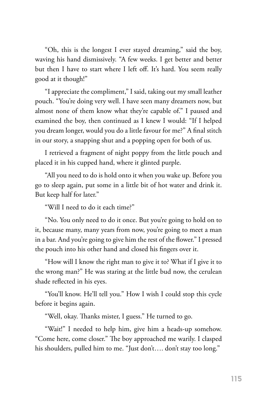"Oh, this is the longest I ever stayed dreaming," said the boy, waving his hand dismissively. "A few weeks. I get better and better but then I have to start where I left off. It's hard. You seem really good at it though!"

"I appreciate the compliment," I said, taking out my small leather pouch. "You're doing very well. I have seen many dreamers now, but almost none of them know what they're capable of." I paused and examined the boy, then continued as I knew I would: "If I helped you dream longer, would you do a little favour for me?" A final stitch in our story, a snapping shut and a popping open for both of us.

I retrieved a fragment of night poppy from the little pouch and placed it in his cupped hand, where it glinted purple.

"All you need to do is hold onto it when you wake up. Before you go to sleep again, put some in a little bit of hot water and drink it. But keep half for later."

"Will I need to do it each time?"

"No. You only need to do it once. But you're going to hold on to it, because many, many years from now, you're going to meet a man in a bar. And you're going to give him the rest of the flower." I pressed the pouch into his other hand and closed his fingers over it.

"How will I know the right man to give it to? What if I give it to the wrong man?" He was staring at the little bud now, the cerulean shade reflected in his eyes.

"You'll know. He'll tell you." How I wish I could stop this cycle before it begins again.

"Well, okay. Thanks mister, I guess." He turned to go.

"Wait!" I needed to help him, give him a heads-up somehow. "Come here, come closer." The boy approached me warily. I clasped his shoulders, pulled him to me. "Just don't…. don't stay too long."